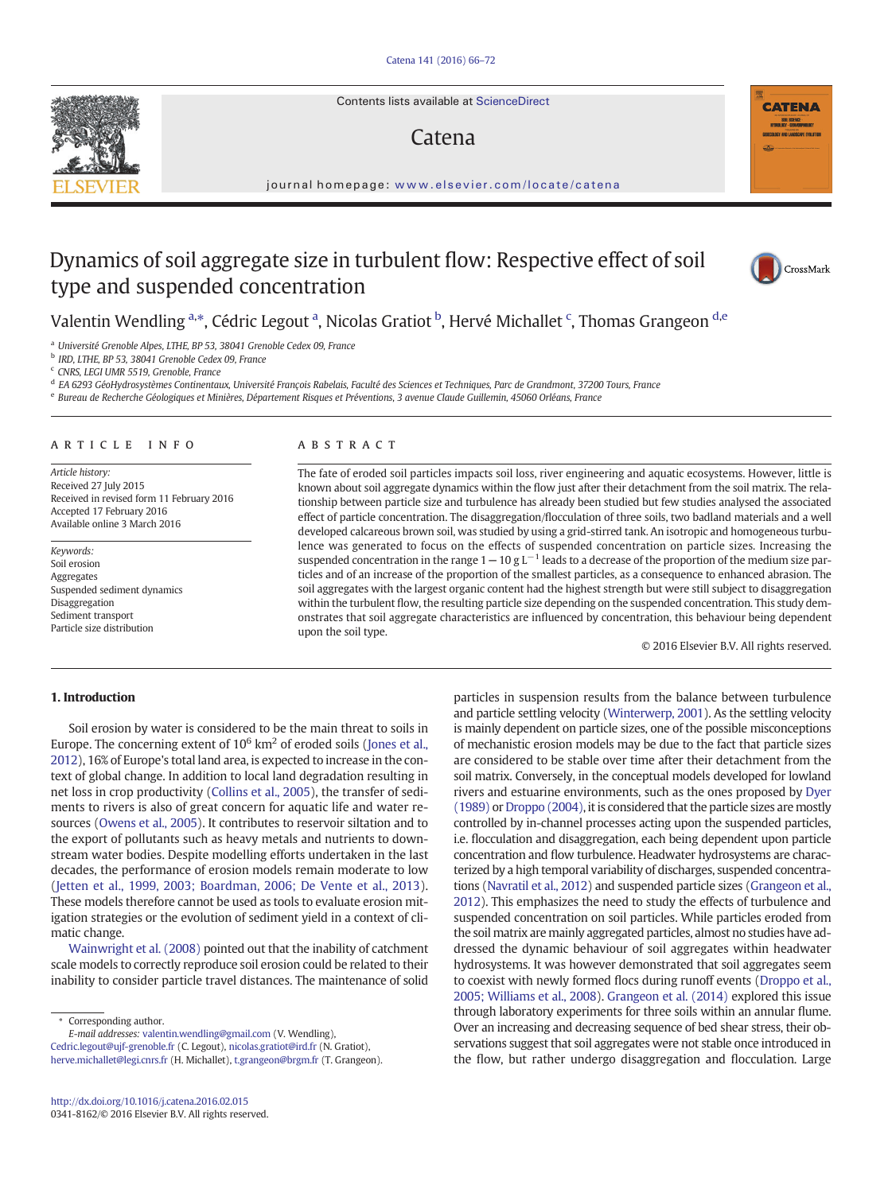Contents lists available at ScienceDirect

# Catena

journal homepage: <www.elsevier.com/locate/catena>

# Dynamics of soil aggregate size in turbulent flow: Respective effect of soil type and suspended concentration



**CATENA** 

Valentin Wendling <sup>a,\*</sup>, Cédric Legout <sup>a</sup>, Nicolas Gratiot <sup>b</sup>, Hervé Michallet <sup>c</sup>, Thomas Grangeon <sup>d,e</sup>

<sup>a</sup> Université Grenoble Alpes, LTHE, BP 53, 38041 Grenoble Cedex 09, France

<sup>b</sup> IRD, LTHE, BP 53, 38041 Grenoble Cedex 09, France

<sup>c</sup> CNRS, LEGI UMR 5519, Grenoble, France

<sup>d</sup> EA 6293 GéoHydrosystèmes Continentaux, Université François Rabelais, Faculté des Sciences et Techniques, Parc de Grandmont, 37200 Tours, France

<sup>e</sup> Bureau de Recherche Géologiques et Minières, Département Risques et Préventions, 3 avenue Claude Guillemin, 45060 Orléans, France

#### article info abstract

Article history: Received 27 July 2015 Received in revised form 11 February 2016 Accepted 17 February 2016 Available online 3 March 2016

Keywords: Soil erosion Aggregates Suspended sediment dynamics Disaggregation Sediment transport Particle size distribution

The fate of eroded soil particles impacts soil loss, river engineering and aquatic ecosystems. However, little is known about soil aggregate dynamics within the flow just after their detachment from the soil matrix. The relationship between particle size and turbulence has already been studied but few studies analysed the associated effect of particle concentration. The disaggregation/flocculation of three soils, two badland materials and a well developed calcareous brown soil, was studied by using a grid-stirred tank. An isotropic and homogeneous turbulence was generated to focus on the effects of suspended concentration on particle sizes. Increasing the suspended concentration in the range  $1-10$  g L<sup> $-1$ </sup> leads to a decrease of the proportion of the medium size particles and of an increase of the proportion of the smallest particles, as a consequence to enhanced abrasion. The soil aggregates with the largest organic content had the highest strength but were still subject to disaggregation within the turbulent flow, the resulting particle size depending on the suspended concentration. This study demonstrates that soil aggregate characteristics are influenced by concentration, this behaviour being dependent upon the soil type.

© 2016 Elsevier B.V. All rights reserved.

# 1. Introduction

Soil erosion by water is considered to be the main threat to soils in Europe. The concerning extent of  $10^6$  km<sup>2</sup> of eroded soils ([Jones et al.,](#page-6-0) [2012\)](#page-6-0), 16% of Europe's total land area, is expected to increase in the context of global change. In addition to local land degradation resulting in net loss in crop productivity ([Collins et al., 2005](#page-6-0)), the transfer of sediments to rivers is also of great concern for aquatic life and water resources [\(Owens et al., 2005](#page-6-0)). It contributes to reservoir siltation and to the export of pollutants such as heavy metals and nutrients to downstream water bodies. Despite modelling efforts undertaken in the last decades, the performance of erosion models remain moderate to low [\(Jetten et al., 1999, 2003; Boardman, 2006; De Vente et al., 2013](#page-6-0)). These models therefore cannot be used as tools to evaluate erosion mitigation strategies or the evolution of sediment yield in a context of climatic change.

[Wainwright et al. \(2008\)](#page-6-0) pointed out that the inability of catchment scale models to correctly reproduce soil erosion could be related to their inability to consider particle travel distances. The maintenance of solid

⁎ Corresponding author.

E-mail addresses: valentin.wendling@gmail.com (V. Wendling),

Cedric.legout@ujf-grenoble.fr (C. Legout), nicolas.gratiot@ird.fr (N. Gratiot), herve.michallet@legi.cnrs.fr (H. Michallet), [t.grangeon@brgm.fr](mailto:t.grangeon@brgm.fr) (T. Grangeon). particles in suspension results from the balance between turbulence and particle settling velocity [\(Winterwerp, 2001\)](#page-6-0). As the settling velocity is mainly dependent on particle sizes, one of the possible misconceptions of mechanistic erosion models may be due to the fact that particle sizes are considered to be stable over time after their detachment from the soil matrix. Conversely, in the conceptual models developed for lowland rivers and estuarine environments, such as the ones proposed by [Dyer](#page-6-0) [\(1989\)](#page-6-0) or [Droppo \(2004\),](#page-6-0) it is considered that the particle sizes are mostly controlled by in-channel processes acting upon the suspended particles, i.e. flocculation and disaggregation, each being dependent upon particle concentration and flow turbulence. Headwater hydrosystems are characterized by a high temporal variability of discharges, suspended concentrations [\(Navratil et al., 2012\)](#page-6-0) and suspended particle sizes [\(Grangeon et al.,](#page-6-0) [2012](#page-6-0)). This emphasizes the need to study the effects of turbulence and suspended concentration on soil particles. While particles eroded from the soil matrix are mainly aggregated particles, almost no studies have addressed the dynamic behaviour of soil aggregates within headwater hydrosystems. It was however demonstrated that soil aggregates seem to coexist with newly formed flocs during runoff events [\(Droppo et al.,](#page-6-0) [2005; Williams et al., 2008\)](#page-6-0). [Grangeon et al. \(2014\)](#page-6-0) explored this issue through laboratory experiments for three soils within an annular flume. Over an increasing and decreasing sequence of bed shear stress, their observations suggest that soil aggregates were not stable once introduced in the flow, but rather undergo disaggregation and flocculation. Large

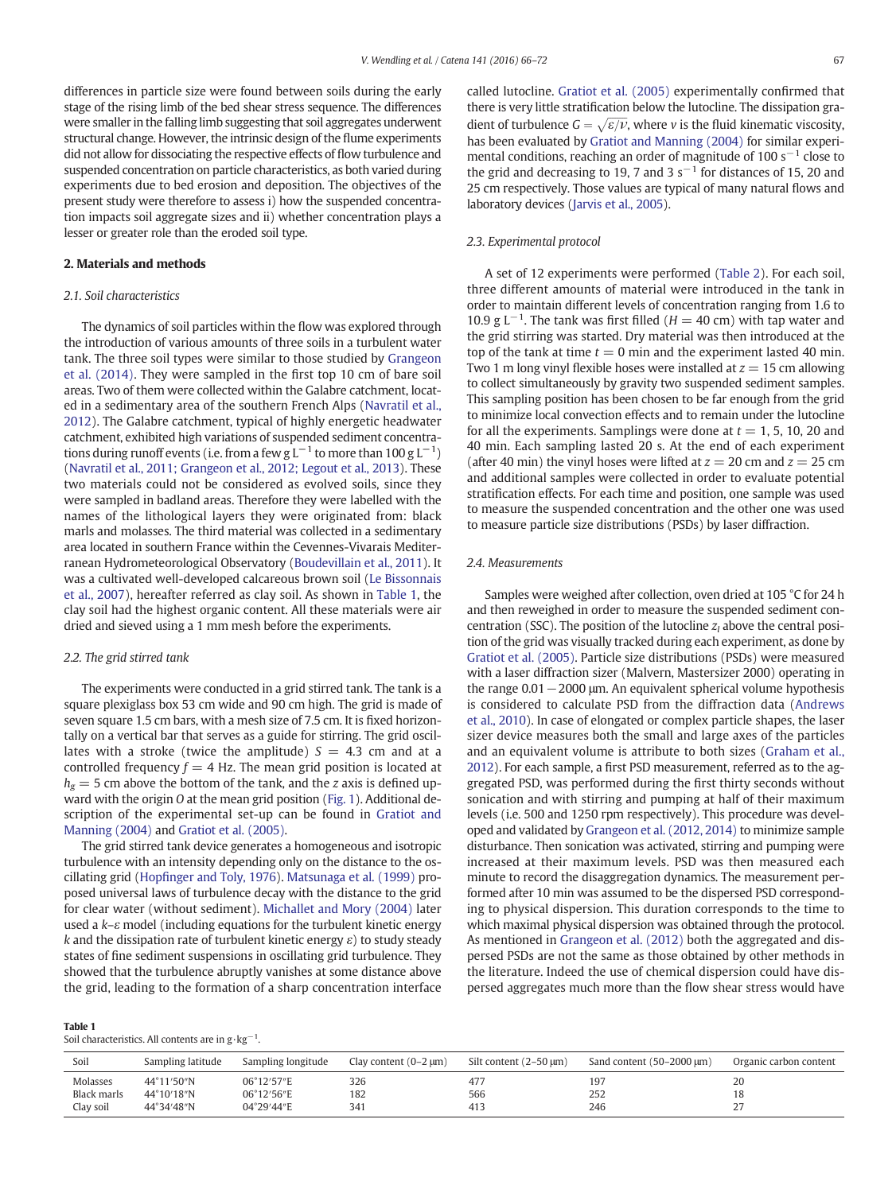differences in particle size were found between soils during the early stage of the rising limb of the bed shear stress sequence. The differences were smaller in the falling limb suggesting that soil aggregates underwent structural change. However, the intrinsic design of the flume experiments did not allow for dissociating the respective effects of flow turbulence and suspended concentration on particle characteristics, as both varied during experiments due to bed erosion and deposition. The objectives of the present study were therefore to assess i) how the suspended concentration impacts soil aggregate sizes and ii) whether concentration plays a lesser or greater role than the eroded soil type.

#### 2. Materials and methods

# 2.1. Soil characteristics

The dynamics of soil particles within the flow was explored through the introduction of various amounts of three soils in a turbulent water tank. The three soil types were similar to those studied by [Grangeon](#page-6-0) [et al. \(2014\)](#page-6-0). They were sampled in the first top 10 cm of bare soil areas. Two of them were collected within the Galabre catchment, located in a sedimentary area of the southern French Alps ([Navratil et al.,](#page-6-0) [2012\)](#page-6-0). The Galabre catchment, typical of highly energetic headwater catchment, exhibited high variations of suspended sediment concentrations during runoff events (i.e. from a few g L $^{-1}$  to more than 100 g L $^{-1})$ [\(Navratil et al., 2011; Grangeon et al., 2012; Legout et al., 2013\)](#page-6-0). These two materials could not be considered as evolved soils, since they were sampled in badland areas. Therefore they were labelled with the names of the lithological layers they were originated from: black marls and molasses. The third material was collected in a sedimentary area located in southern France within the Cevennes-Vivarais Mediterranean Hydrometeorological Observatory ([Boudevillain et al., 2011](#page-6-0)). It was a cultivated well-developed calcareous brown soil ([Le Bissonnais](#page-6-0) [et al., 2007](#page-6-0)), hereafter referred as clay soil. As shown in Table 1, the clay soil had the highest organic content. All these materials were air dried and sieved using a 1 mm mesh before the experiments.

#### 2.2. The grid stirred tank

The experiments were conducted in a grid stirred tank. The tank is a square plexiglass box 53 cm wide and 90 cm high. The grid is made of seven square 1.5 cm bars, with a mesh size of 7.5 cm. It is fixed horizontally on a vertical bar that serves as a guide for stirring. The grid oscillates with a stroke (twice the amplitude)  $S = 4.3$  cm and at a controlled frequency  $f = 4$  Hz. The mean grid position is located at  $h_{\sigma} = 5$  cm above the bottom of the tank, and the *z* axis is defined upward with the origin O at the mean grid position ([Fig. 1](#page-2-0)). Additional description of the experimental set-up can be found in [Gratiot and](#page-6-0) [Manning \(2004\)](#page-6-0) and [Gratiot et al. \(2005\)](#page-6-0).

The grid stirred tank device generates a homogeneous and isotropic turbulence with an intensity depending only on the distance to the oscillating grid (Hopfi[nger and Toly, 1976](#page-6-0)). [Matsunaga et al. \(1999\)](#page-6-0) proposed universal laws of turbulence decay with the distance to the grid for clear water (without sediment). [Michallet and Mory \(2004\)](#page-6-0) later used a  $k$ – $\varepsilon$  model (including equations for the turbulent kinetic energy k and the dissipation rate of turbulent kinetic energy  $\varepsilon$ ) to study steady states of fine sediment suspensions in oscillating grid turbulence. They showed that the turbulence abruptly vanishes at some distance above the grid, leading to the formation of a sharp concentration interface

| Table 1                                                       |  |
|---------------------------------------------------------------|--|
| Soil characteristics. All contents are in $g \cdot kg^{-1}$ . |  |

called lutocline. [Gratiot et al. \(2005\)](#page-6-0) experimentally confirmed that there is very little stratification below the lutocline. The dissipation gradient of turbulence  $G = \sqrt{\varepsilon/\nu}$ , where v is the fluid kinematic viscosity, has been evaluated by [Gratiot and Manning \(2004\)](#page-6-0) for similar experimental conditions, reaching an order of magnitude of 100 s<sup> $-1$ </sup> close to the grid and decreasing to 19, 7 and 3 s<sup> $-1$ </sup> for distances of 15, 20 and 25 cm respectively. Those values are typical of many natural flows and laboratory devices [\(Jarvis et al., 2005\)](#page-6-0).

#### 2.3. Experimental protocol

A set of 12 experiments were performed ([Table 2\)](#page-2-0). For each soil, three different amounts of material were introduced in the tank in order to maintain different levels of concentration ranging from 1.6 to 10.9 g L<sup>-1</sup>. The tank was first filled ( $H = 40$  cm) with tap water and the grid stirring was started. Dry material was then introduced at the top of the tank at time  $t = 0$  min and the experiment lasted 40 min. Two 1 m long vinyl flexible hoses were installed at  $z = 15$  cm allowing to collect simultaneously by gravity two suspended sediment samples. This sampling position has been chosen to be far enough from the grid to minimize local convection effects and to remain under the lutocline for all the experiments. Samplings were done at  $t = 1, 5, 10, 20$  and 40 min. Each sampling lasted 20 s. At the end of each experiment (after 40 min) the vinyl hoses were lifted at  $z = 20$  cm and  $z = 25$  cm and additional samples were collected in order to evaluate potential stratification effects. For each time and position, one sample was used to measure the suspended concentration and the other one was used to measure particle size distributions (PSDs) by laser diffraction.

#### 2.4. Measurements

Samples were weighed after collection, oven dried at 105 °C for 24 h and then reweighed in order to measure the suspended sediment concentration (SSC). The position of the lutocline  $z<sub>l</sub>$  above the central position of the grid was visually tracked during each experiment, as done by [Gratiot et al. \(2005\)](#page-6-0). Particle size distributions (PSDs) were measured with a laser diffraction sizer (Malvern, Mastersizer 2000) operating in the range 0.01−2000 μm. An equivalent spherical volume hypothesis is considered to calculate PSD from the diffraction data ([Andrews](#page-6-0) [et al., 2010\)](#page-6-0). In case of elongated or complex particle shapes, the laser sizer device measures both the small and large axes of the particles and an equivalent volume is attribute to both sizes [\(Graham et al.,](#page-6-0) [2012](#page-6-0)). For each sample, a first PSD measurement, referred as to the aggregated PSD, was performed during the first thirty seconds without sonication and with stirring and pumping at half of their maximum levels (i.e. 500 and 1250 rpm respectively). This procedure was developed and validated by [Grangeon et al. \(2012, 2014\)](#page-6-0) to minimize sample disturbance. Then sonication was activated, stirring and pumping were increased at their maximum levels. PSD was then measured each minute to record the disaggregation dynamics. The measurement performed after 10 min was assumed to be the dispersed PSD corresponding to physical dispersion. This duration corresponds to the time to which maximal physical dispersion was obtained through the protocol. As mentioned in [Grangeon et al. \(2012\)](#page-6-0) both the aggregated and dispersed PSDs are not the same as those obtained by other methods in the literature. Indeed the use of chemical dispersion could have dispersed aggregates much more than the flow shear stress would have

| Soil        | Sampling latitude | Sampling longitude | Clay content $(0-2 \mu m)$ | Silt content $(2-50 \mu m)$ | Sand content $(50-2000 \mu m)$ | Organic carbon content |
|-------------|-------------------|--------------------|----------------------------|-----------------------------|--------------------------------|------------------------|
| Molasses    | 44°11′50″N        | 06°12'57"E         | 326                        | 477                         | 197                            | 20                     |
| Black marls | 44°10′18″N        | 06°12'56"E         | 182                        | 566                         | 252                            | 18                     |
| Clay soil   | 44°34′48″N        | 04°29'44"E         | 341                        | 413                         | 246                            | דר<br>، ے              |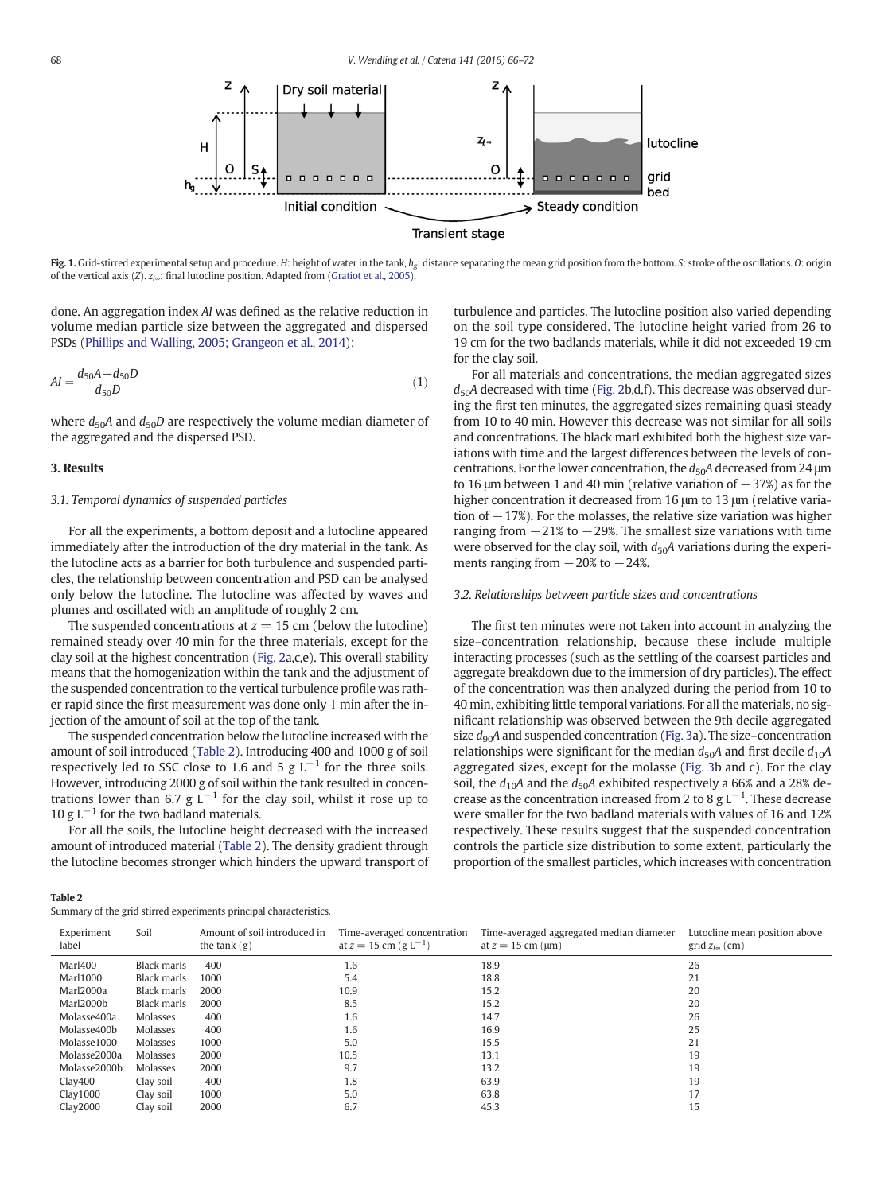<span id="page-2-0"></span>

Fig. 1. Grid-stirred experimental setup and procedure. H: height of water in the tank,  $h_{\sigma}$ : distance separating the mean grid position from the bottom. S: stroke of the oscillations. O: origin of the vertical axis (Z).  $z_{\text{I}\infty}$ : final lutocline position. Adapted from [\(Gratiot et al., 2005\)](#page-6-0).

done. An aggregation index AI was defined as the relative reduction in volume median particle size between the aggregated and dispersed PSDs ([Phillips and Walling, 2005; Grangeon et al., 2014\)](#page-6-0):

$$
AI = \frac{d_{50}A - d_{50}D}{d_{50}D} \tag{1}
$$

where  $d_{50}A$  and  $d_{50}D$  are respectively the volume median diameter of the aggregated and the dispersed PSD.

#### 3. Results

# 3.1. Temporal dynamics of suspended particles

For all the experiments, a bottom deposit and a lutocline appeared immediately after the introduction of the dry material in the tank. As the lutocline acts as a barrier for both turbulence and suspended particles, the relationship between concentration and PSD can be analysed only below the lutocline. The lutocline was affected by waves and plumes and oscillated with an amplitude of roughly 2 cm.

The suspended concentrations at  $z = 15$  cm (below the lutocline) remained steady over 40 min for the three materials, except for the clay soil at the highest concentration [\(Fig. 2a](#page-3-0),c,e). This overall stability means that the homogenization within the tank and the adjustment of the suspended concentration to the vertical turbulence profile was rather rapid since the first measurement was done only 1 min after the injection of the amount of soil at the top of the tank.

The suspended concentration below the lutocline increased with the amount of soil introduced (Table 2). Introducing 400 and 1000 g of soil respectively led to SSC close to 1.6 and 5 g  $L^{-1}$  for the three soils. However, introducing 2000 g of soil within the tank resulted in concentrations lower than 6.7 g  $L^{-1}$  for the clay soil, whilst it rose up to 10 g L<sup> $-1$ </sup> for the two badland materials.

For all the soils, the lutocline height decreased with the increased amount of introduced material (Table 2). The density gradient through the lutocline becomes stronger which hinders the upward transport of turbulence and particles. The lutocline position also varied depending on the soil type considered. The lutocline height varied from 26 to 19 cm for the two badlands materials, while it did not exceeded 19 cm for the clay soil.

For all materials and concentrations, the median aggregated sizes  $d_{50}A$  decreased with time [\(Fig. 2](#page-3-0)b,d,f). This decrease was observed during the first ten minutes, the aggregated sizes remaining quasi steady from 10 to 40 min. However this decrease was not similar for all soils and concentrations. The black marl exhibited both the highest size variations with time and the largest differences between the levels of concentrations. For the lower concentration, the  $d_{50}A$  decreased from 24  $\mu$ m to 16  $\mu$ m between 1 and 40 min (relative variation of  $-37\%$ ) as for the higher concentration it decreased from 16 μm to 13 μm (relative variation of  $-17$ %). For the molasses, the relative size variation was higher ranging from  $-21\%$  to  $-29\%$ . The smallest size variations with time were observed for the clay soil, with  $d_{50}A$  variations during the experiments ranging from  $-20\%$  to  $-24\%$ .

#### 3.2. Relationships between particle sizes and concentrations

The first ten minutes were not taken into account in analyzing the size–concentration relationship, because these include multiple interacting processes (such as the settling of the coarsest particles and aggregate breakdown due to the immersion of dry particles). The effect of the concentration was then analyzed during the period from 10 to 40 min, exhibiting little temporal variations. For all the materials, no significant relationship was observed between the 9th decile aggregated size  $d_{90}A$  and suspended concentration [\(Fig. 3a](#page-4-0)). The size–concentration relationships were significant for the median  $d_{50}A$  and first decile  $d_{10}A$ aggregated sizes, except for the molasse ([Fig. 3](#page-4-0)b and c). For the clay soil, the  $d_{10}A$  and the  $d_{50}A$  exhibited respectively a 66% and a 28% decrease as the concentration increased from 2 to 8  $g L^{-1}$ . These decrease were smaller for the two badland materials with values of 16 and 12% respectively. These results suggest that the suspended concentration controls the particle size distribution to some extent, particularly the proportion of the smallest particles, which increases with concentration

| $\sim$<br> |
|------------|
|------------|

|  |  |  |  | Summary of the grid stirred experiments principal characteristics. |
|--|--|--|--|--------------------------------------------------------------------|
|  |  |  |  |                                                                    |

| Experiment<br>label | Soil        | Amount of soil introduced in<br>the tank $(g)$ | Time-averaged concentration<br>at $z = 15$ cm (g $L^{-1}$ ) | Time-averaged aggregated median diameter<br>at $z = 15$ cm ( $\mu$ m) | Lutocline mean position above<br>grid $z_{1\infty}$ (cm) |
|---------------------|-------------|------------------------------------------------|-------------------------------------------------------------|-----------------------------------------------------------------------|----------------------------------------------------------|
| Marl400             | Black marls | 400                                            | 1.6                                                         | 18.9                                                                  | 26                                                       |
| <b>Marl1000</b>     | Black marls | 1000                                           | 5.4                                                         | 18.8                                                                  | 21                                                       |
| Marl2000a           | Black marls | 2000                                           | 10.9                                                        | 15.2                                                                  | 20                                                       |
| Marl2000b           | Black marls | 2000                                           | 8.5                                                         | 15.2                                                                  | 20                                                       |
| Molasse400a         | Molasses    | 400                                            | 1.6                                                         | 14.7                                                                  | 26                                                       |
| Molasse400b         | Molasses    | 400                                            | 1.6                                                         | 16.9                                                                  | 25                                                       |
| Molasse1000         | Molasses    | 1000                                           | 5.0                                                         | 15.5                                                                  | 21                                                       |
| Molasse2000a        | Molasses    | 2000                                           | 10.5                                                        | 13.1                                                                  | 19                                                       |
| Molasse2000b        | Molasses    | 2000                                           | 9.7                                                         | 13.2                                                                  | 19                                                       |
| Clav400             | Clay soil   | 400                                            | 1.8                                                         | 63.9                                                                  | 19                                                       |
| Clav1000            | Clay soil   | 1000                                           | 5.0                                                         | 63.8                                                                  | 17                                                       |
| Clav2000            | Clay soil   | 2000                                           | 6.7                                                         | 45.3                                                                  | 15                                                       |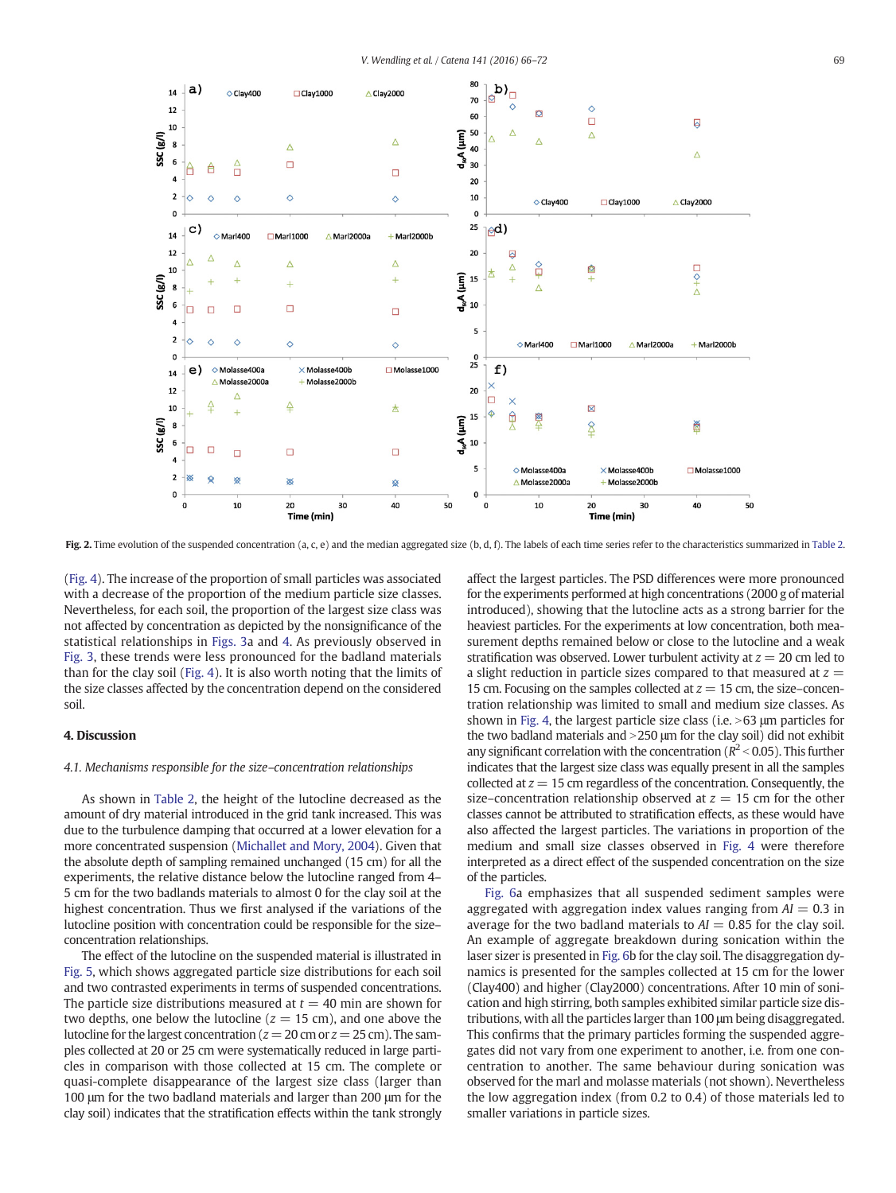<span id="page-3-0"></span>

Fig. 2. Time evolution of the suspended concentration (a, c, e) and the median aggregated size (b, d, f). The labels of each time series refer to the characteristics summarized in [Table 2.](#page-2-0)

[\(Fig. 4](#page-4-0)). The increase of the proportion of small particles was associated with a decrease of the proportion of the medium particle size classes. Nevertheless, for each soil, the proportion of the largest size class was not affected by concentration as depicted by the nonsignificance of the statistical relationships in [Figs. 3a](#page-4-0) and [4.](#page-4-0) As previously observed in [Fig. 3](#page-4-0), these trends were less pronounced for the badland materials than for the clay soil [\(Fig. 4](#page-4-0)). It is also worth noting that the limits of the size classes affected by the concentration depend on the considered soil.

#### 4. Discussion

#### 4.1. Mechanisms responsible for the size–concentration relationships

As shown in [Table 2](#page-2-0), the height of the lutocline decreased as the amount of dry material introduced in the grid tank increased. This was due to the turbulence damping that occurred at a lower elevation for a more concentrated suspension [\(Michallet and Mory, 2004\)](#page-6-0). Given that the absolute depth of sampling remained unchanged (15 cm) for all the experiments, the relative distance below the lutocline ranged from 4– 5 cm for the two badlands materials to almost 0 for the clay soil at the highest concentration. Thus we first analysed if the variations of the lutocline position with concentration could be responsible for the size– concentration relationships.

The effect of the lutocline on the suspended material is illustrated in [Fig. 5,](#page-5-0) which shows aggregated particle size distributions for each soil and two contrasted experiments in terms of suspended concentrations. The particle size distributions measured at  $t = 40$  min are shown for two depths, one below the lutocline ( $z = 15$  cm), and one above the lutocline for the largest concentration ( $z = 20$  cm or  $z = 25$  cm). The samples collected at 20 or 25 cm were systematically reduced in large particles in comparison with those collected at 15 cm. The complete or quasi-complete disappearance of the largest size class (larger than 100 μm for the two badland materials and larger than 200 μm for the clay soil) indicates that the stratification effects within the tank strongly affect the largest particles. The PSD differences were more pronounced for the experiments performed at high concentrations (2000 g of material introduced), showing that the lutocline acts as a strong barrier for the heaviest particles. For the experiments at low concentration, both measurement depths remained below or close to the lutocline and a weak stratification was observed. Lower turbulent activity at  $z = 20$  cm led to a slight reduction in particle sizes compared to that measured at  $z =$ 15 cm. Focusing on the samples collected at  $z = 15$  cm, the size–concentration relationship was limited to small and medium size classes. As shown in [Fig. 4](#page-4-0), the largest particle size class (i.e.  $>63$  µm particles for the two badland materials and  $>$  250  $\mu$ m for the clay soil) did not exhibit any significant correlation with the concentration ( $R^2$  < 0.05). This further indicates that the largest size class was equally present in all the samples collected at  $z = 15$  cm regardless of the concentration. Consequently, the size–concentration relationship observed at  $z = 15$  cm for the other classes cannot be attributed to stratification effects, as these would have also affected the largest particles. The variations in proportion of the medium and small size classes observed in [Fig. 4](#page-4-0) were therefore interpreted as a direct effect of the suspended concentration on the size of the particles.

[Fig. 6](#page-5-0)a emphasizes that all suspended sediment samples were aggregated with aggregation index values ranging from  $AI = 0.3$  in average for the two badland materials to  $AI = 0.85$  for the clay soil. An example of aggregate breakdown during sonication within the laser sizer is presented in [Fig. 6b](#page-5-0) for the clay soil. The disaggregation dynamics is presented for the samples collected at 15 cm for the lower (Clay400) and higher (Clay2000) concentrations. After 10 min of sonication and high stirring, both samples exhibited similar particle size distributions, with all the particles larger than 100 μm being disaggregated. This confirms that the primary particles forming the suspended aggregates did not vary from one experiment to another, i.e. from one concentration to another. The same behaviour during sonication was observed for the marl and molasse materials (not shown). Nevertheless the low aggregation index (from 0.2 to 0.4) of those materials led to smaller variations in particle sizes.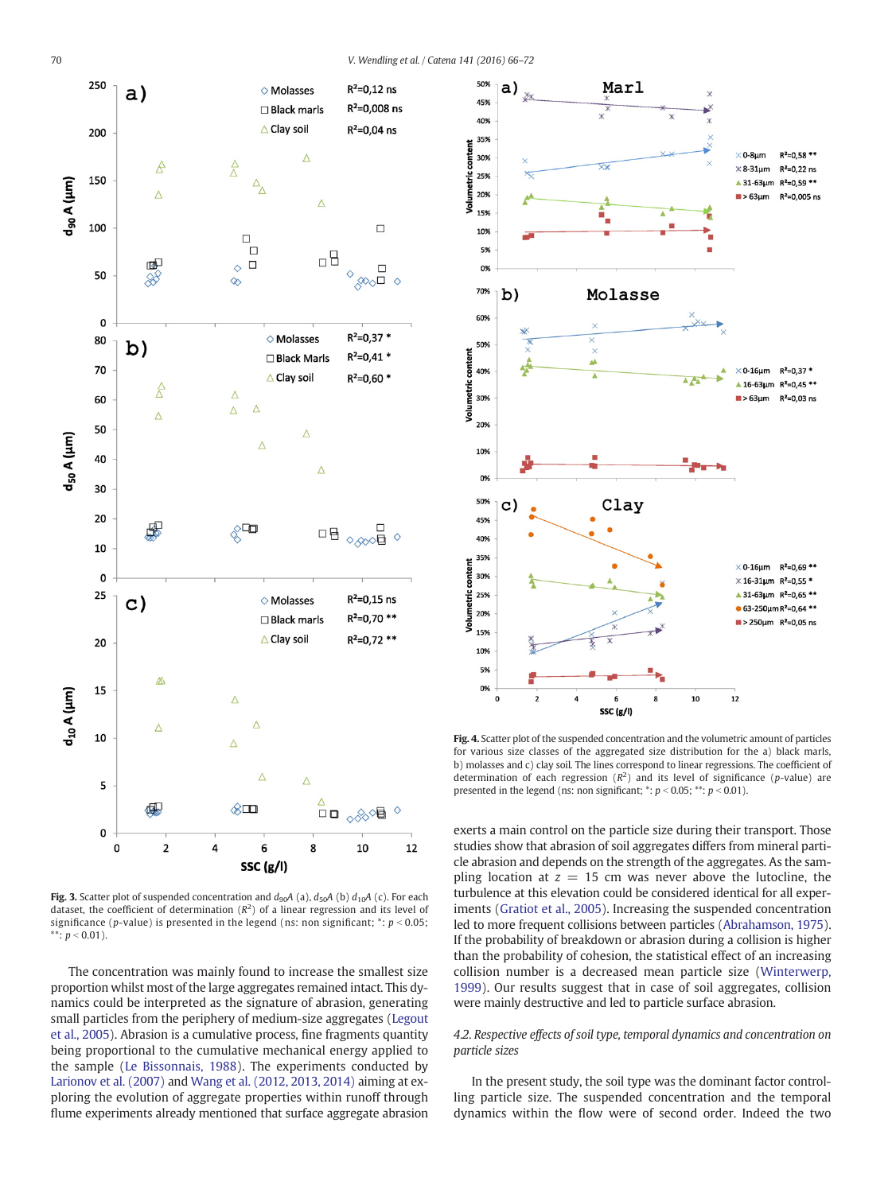<span id="page-4-0"></span>

Fig. 3. Scatter plot of suspended concentration and  $d_{90}A$  (a),  $d_{50}A$  (b)  $d_{10}A$  (c). For each dataset, the coefficient of determination  $(R^2)$  of a linear regression and its level of significance (p-value) is presented in the legend (ns: non significant;  $*$ :  $p < 0.05$ ; \*\*:  $p < 0.01$ ).

The concentration was mainly found to increase the smallest size proportion whilst most of the large aggregates remained intact. This dynamics could be interpreted as the signature of abrasion, generating small particles from the periphery of medium-size aggregates ([Legout](#page-6-0) [et al., 2005\)](#page-6-0). Abrasion is a cumulative process, fine fragments quantity being proportional to the cumulative mechanical energy applied to the sample [\(Le Bissonnais, 1988](#page-6-0)). The experiments conducted by [Larionov et al. \(2007\)](#page-6-0) and [Wang et al. \(2012, 2013, 2014\)](#page-6-0) aiming at exploring the evolution of aggregate properties within runoff through flume experiments already mentioned that surface aggregate abrasion



Fig. 4. Scatter plot of the suspended concentration and the volumetric amount of particles for various size classes of the aggregated size distribution for the a) black marls, b) molasses and c) clay soil. The lines correspond to linear regressions. The coefficient of determination of each regression  $(R^2)$  and its level of significance (p-value) are presented in the legend (ns: non significant;  $*$ :  $p < 0.05$ ;  $**$ :  $p < 0.01$ ).

exerts a main control on the particle size during their transport. Those studies show that abrasion of soil aggregates differs from mineral particle abrasion and depends on the strength of the aggregates. As the sampling location at  $z = 15$  cm was never above the lutocline, the turbulence at this elevation could be considered identical for all experiments [\(Gratiot et al., 2005\)](#page-6-0). Increasing the suspended concentration led to more frequent collisions between particles ([Abrahamson, 1975\)](#page-6-0). If the probability of breakdown or abrasion during a collision is higher than the probability of cohesion, the statistical effect of an increasing collision number is a decreased mean particle size ([Winterwerp,](#page-6-0) [1999](#page-6-0)). Our results suggest that in case of soil aggregates, collision were mainly destructive and led to particle surface abrasion.

# 4.2. Respective effects of soil type, temporal dynamics and concentration on particle sizes

In the present study, the soil type was the dominant factor controlling particle size. The suspended concentration and the temporal dynamics within the flow were of second order. Indeed the two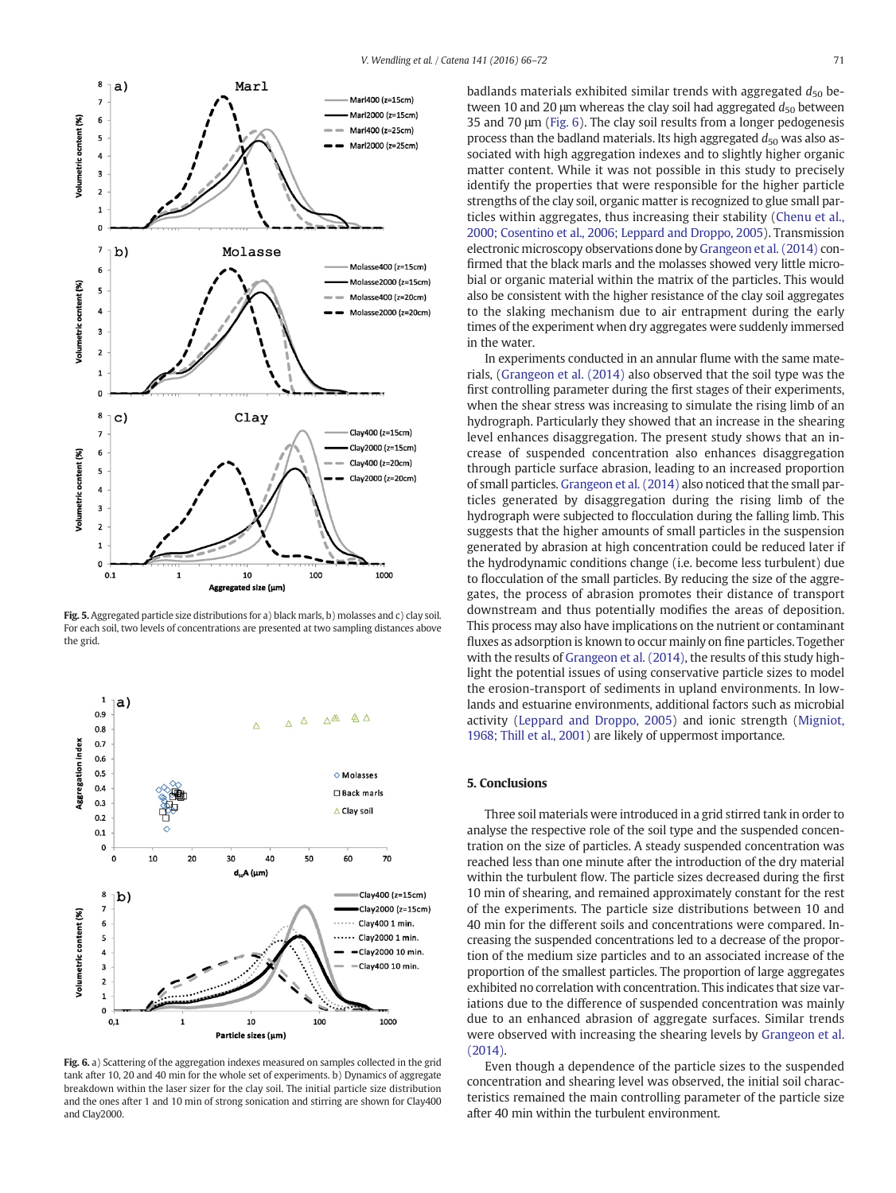<span id="page-5-0"></span>

Fig. 5. Aggregated particle size distributions for a) black marls, b) molasses and c) clay soil. For each soil, two levels of concentrations are presented at two sampling distances above the grid.



Fig. 6. a) Scattering of the aggregation indexes measured on samples collected in the grid tank after 10, 20 and 40 min for the whole set of experiments. b) Dynamics of aggregate breakdown within the laser sizer for the clay soil. The initial particle size distribution and the ones after 1 and 10 min of strong sonication and stirring are shown for Clay400 and Clay2000.

badlands materials exhibited similar trends with aggregated  $d_{50}$  between 10 and 20  $\mu$ m whereas the clay soil had aggregated  $d_{50}$  between 35 and 70 μm (Fig. 6). The clay soil results from a longer pedogenesis process than the badland materials. Its high aggregated  $d_{50}$  was also associated with high aggregation indexes and to slightly higher organic matter content. While it was not possible in this study to precisely identify the properties that were responsible for the higher particle strengths of the clay soil, organic matter is recognized to glue small particles within aggregates, thus increasing their stability [\(Chenu et al.,](#page-6-0) [2000; Cosentino et al., 2006; Leppard and Droppo, 2005](#page-6-0)). Transmission electronic microscopy observations done by [Grangeon et al. \(2014\)](#page-6-0) confirmed that the black marls and the molasses showed very little microbial or organic material within the matrix of the particles. This would also be consistent with the higher resistance of the clay soil aggregates to the slaking mechanism due to air entrapment during the early times of the experiment when dry aggregates were suddenly immersed in the water.

In experiments conducted in an annular flume with the same materials, [\(Grangeon et al. \(2014\)](#page-6-0) also observed that the soil type was the first controlling parameter during the first stages of their experiments, when the shear stress was increasing to simulate the rising limb of an hydrograph. Particularly they showed that an increase in the shearing level enhances disaggregation. The present study shows that an increase of suspended concentration also enhances disaggregation through particle surface abrasion, leading to an increased proportion of small particles. [Grangeon et al. \(2014\)](#page-6-0) also noticed that the small particles generated by disaggregation during the rising limb of the hydrograph were subjected to flocculation during the falling limb. This suggests that the higher amounts of small particles in the suspension generated by abrasion at high concentration could be reduced later if the hydrodynamic conditions change (i.e. become less turbulent) due to flocculation of the small particles. By reducing the size of the aggregates, the process of abrasion promotes their distance of transport downstream and thus potentially modifies the areas of deposition. This process may also have implications on the nutrient or contaminant fluxes as adsorption is known to occur mainly on fine particles. Together with the results of [Grangeon et al. \(2014\)](#page-6-0), the results of this study highlight the potential issues of using conservative particle sizes to model the erosion-transport of sediments in upland environments. In lowlands and estuarine environments, additional factors such as microbial activity ([Leppard and Droppo, 2005\)](#page-6-0) and ionic strength ([Migniot,](#page-6-0) [1968; Thill et al., 2001](#page-6-0)) are likely of uppermost importance.

#### 5. Conclusions

Three soil materials were introduced in a grid stirred tank in order to analyse the respective role of the soil type and the suspended concentration on the size of particles. A steady suspended concentration was reached less than one minute after the introduction of the dry material within the turbulent flow. The particle sizes decreased during the first 10 min of shearing, and remained approximately constant for the rest of the experiments. The particle size distributions between 10 and 40 min for the different soils and concentrations were compared. Increasing the suspended concentrations led to a decrease of the proportion of the medium size particles and to an associated increase of the proportion of the smallest particles. The proportion of large aggregates exhibited no correlation with concentration. This indicates that size variations due to the difference of suspended concentration was mainly due to an enhanced abrasion of aggregate surfaces. Similar trends were observed with increasing the shearing levels by [Grangeon et al.](#page-6-0) [\(2014\)](#page-6-0).

Even though a dependence of the particle sizes to the suspended concentration and shearing level was observed, the initial soil characteristics remained the main controlling parameter of the particle size after 40 min within the turbulent environment.